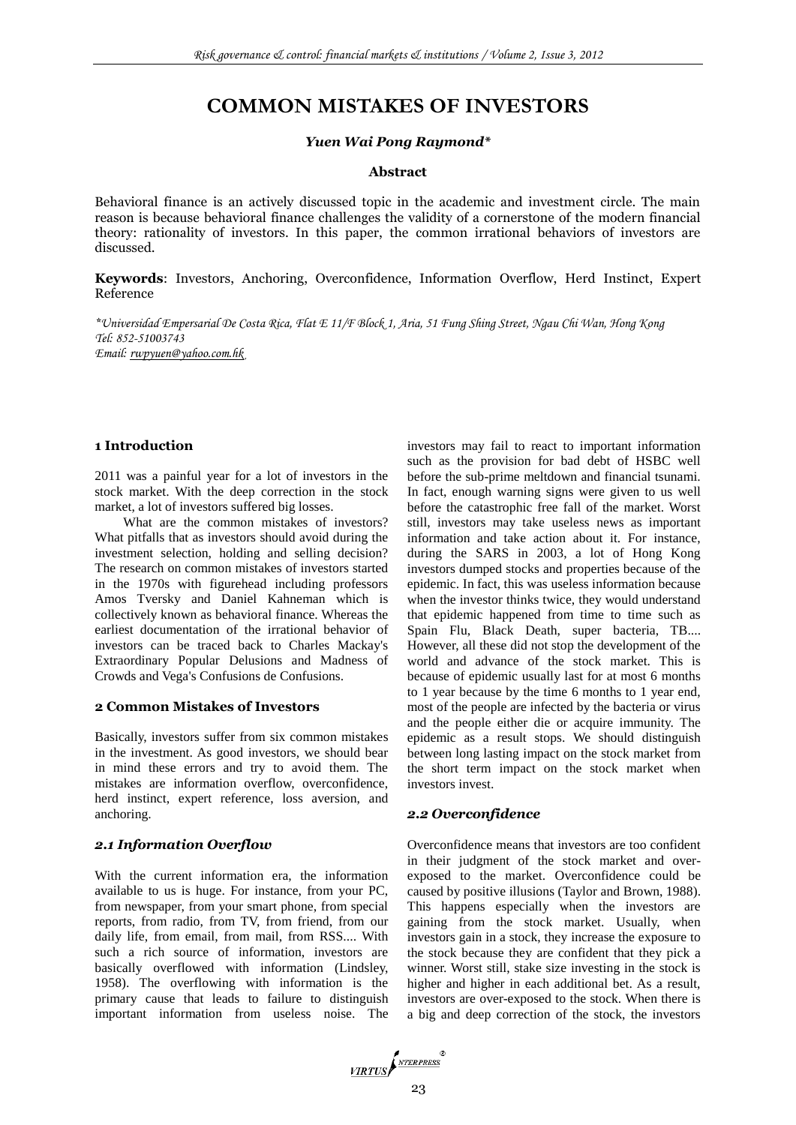# **COMMON MISTAKES OF INVESTORS**

#### *Yuen Wai Pong Raymond\**

#### **Abstract**

Behavioral finance is an actively discussed topic in the academic and investment circle. The main reason is because behavioral finance challenges the validity of a cornerstone of the modern financial theory: rationality of investors. In this paper, the common irrational behaviors of investors are discussed.

**Keywords**: Investors, Anchoring, Overconfidence, Information Overflow, Herd Instinct, Expert Reference

*\*Universidad Empersarial De Costa Rica, Flat E 11/F Block 1, Aria, 51 Fung Shing Street, Ngau Chi Wan, Hong Kong Tel: 852-51003743 Email: [rwpyuen@yahoo.com.hk](mailto:rwpyuen@yahoo.com.hk)*

## **1 Introduction**

2011 was a painful year for a lot of investors in the stock market. With the deep correction in the stock market, a lot of investors suffered big losses.

What are the common mistakes of investors? What pitfalls that as investors should avoid during the investment selection, holding and selling decision? The research on common mistakes of investors started in the 1970s with figurehead including professors Amos Tversky and Daniel Kahneman which is collectively known as behavioral finance. Whereas the earliest documentation of the irrational behavior of investors can be traced back to Charles Mackay's Extraordinary Popular Delusions and Madness of Crowds and Vega's Confusions de Confusions.

#### **2 Common Mistakes of Investors**

Basically, investors suffer from six common mistakes in the investment. As good investors, we should bear in mind these errors and try to avoid them. The mistakes are information overflow, overconfidence, herd instinct, expert reference, loss aversion, and anchoring.

#### *2.1 Information Overflow*

With the current information era, the information available to us is huge. For instance, from your PC, from newspaper, from your smart phone, from special reports, from radio, from TV, from friend, from our daily life, from email, from mail, from RSS.... With such a rich source of information, investors are basically overflowed with information (Lindsley, 1958). The overflowing with information is the primary cause that leads to failure to distinguish important information from useless noise. The investors may fail to react to important information such as the provision for bad debt of HSBC well before the sub-prime meltdown and financial tsunami. In fact, enough warning signs were given to us well before the catastrophic free fall of the market. Worst still, investors may take useless news as important information and take action about it. For instance, during the SARS in 2003, a lot of Hong Kong investors dumped stocks and properties because of the epidemic. In fact, this was useless information because when the investor thinks twice, they would understand that epidemic happened from time to time such as Spain Flu, Black Death, super bacteria, TB.... However, all these did not stop the development of the world and advance of the stock market. This is because of epidemic usually last for at most 6 months to 1 year because by the time 6 months to 1 year end, most of the people are infected by the bacteria or virus and the people either die or acquire immunity. The epidemic as a result stops. We should distinguish between long lasting impact on the stock market from the short term impact on the stock market when investors invest.

#### *2.2 Overconfidence*

Overconfidence means that investors are too confident in their judgment of the stock market and overexposed to the market. Overconfidence could be caused by positive illusions (Taylor and Brown, 1988). This happens especially when the investors are gaining from the stock market. Usually, when investors gain in a stock, they increase the exposure to the stock because they are confident that they pick a winner. Worst still, stake size investing in the stock is higher and higher in each additional bet. As a result, investors are over-exposed to the stock. When there is a big and deep correction of the stock, the investors

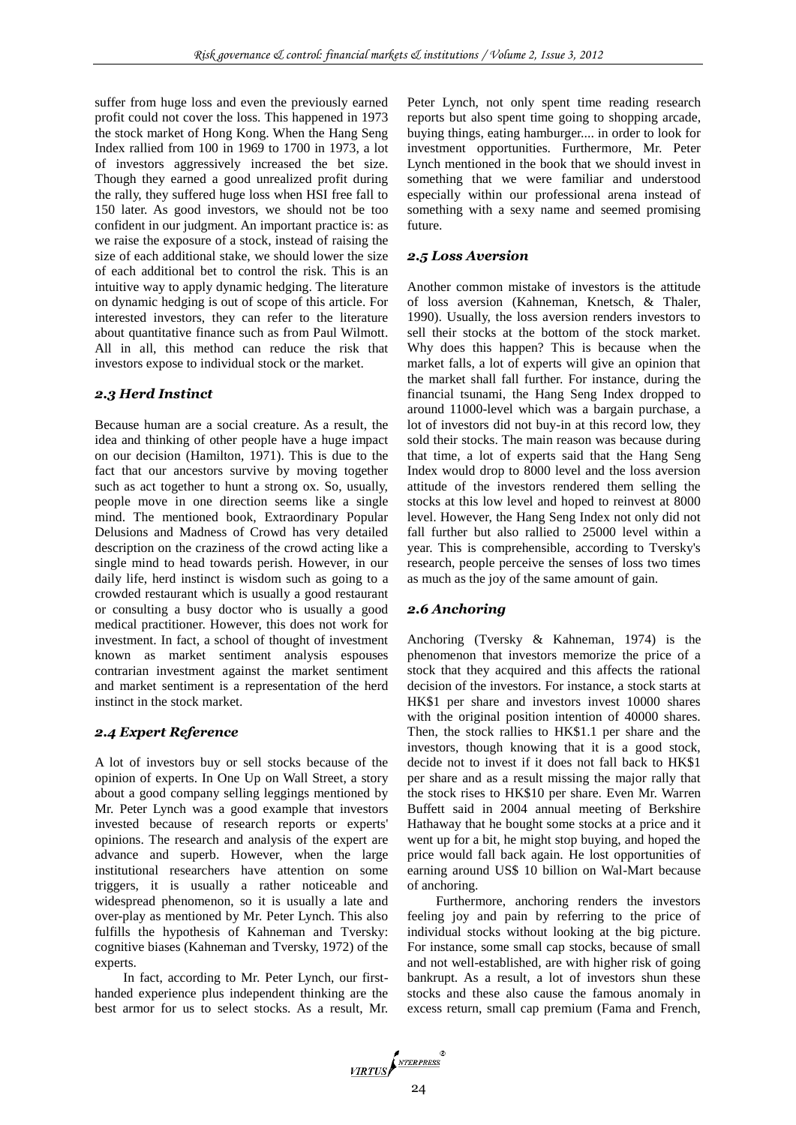suffer from huge loss and even the previously earned profit could not cover the loss. This happened in 1973 the stock market of Hong Kong. When the Hang Seng Index rallied from 100 in 1969 to 1700 in 1973, a lot of investors aggressively increased the bet size. Though they earned a good unrealized profit during the rally, they suffered huge loss when HSI free fall to 150 later. As good investors, we should not be too confident in our judgment. An important practice is: as we raise the exposure of a stock, instead of raising the size of each additional stake, we should lower the size of each additional bet to control the risk. This is an intuitive way to apply dynamic hedging. The literature on dynamic hedging is out of scope of this article. For interested investors, they can refer to the literature about quantitative finance such as from Paul Wilmott. All in all, this method can reduce the risk that investors expose to individual stock or the market.

## *2.3 Herd Instinct*

Because human are a social creature. As a result, the idea and thinking of other people have a huge impact on our decision (Hamilton, 1971). This is due to the fact that our ancestors survive by moving together such as act together to hunt a strong ox. So, usually, people move in one direction seems like a single mind. The mentioned book, Extraordinary Popular Delusions and Madness of Crowd has very detailed description on the craziness of the crowd acting like a single mind to head towards perish. However, in our daily life, herd instinct is wisdom such as going to a crowded restaurant which is usually a good restaurant or consulting a busy doctor who is usually a good medical practitioner. However, this does not work for investment. In fact, a school of thought of investment known as market sentiment analysis espouses contrarian investment against the market sentiment and market sentiment is a representation of the herd instinct in the stock market.

## *2.4 Expert Reference*

A lot of investors buy or sell stocks because of the opinion of experts. In One Up on Wall Street, a story about a good company selling leggings mentioned by Mr. Peter Lynch was a good example that investors invested because of research reports or experts' opinions. The research and analysis of the expert are advance and superb. However, when the large institutional researchers have attention on some triggers, it is usually a rather noticeable and widespread phenomenon, so it is usually a late and over-play as mentioned by Mr. Peter Lynch. This also fulfills the hypothesis of Kahneman and Tversky: cognitive biases (Kahneman and Tversky, 1972) of the experts.

In fact, according to Mr. Peter Lynch, our firsthanded experience plus independent thinking are the best armor for us to select stocks. As a result, Mr. Peter Lynch, not only spent time reading research reports but also spent time going to shopping arcade, buying things, eating hamburger.... in order to look for investment opportunities. Furthermore, Mr. Peter Lynch mentioned in the book that we should invest in something that we were familiar and understood especially within our professional arena instead of something with a sexy name and seemed promising future.

## *2.5 Loss Aversion*

Another common mistake of investors is the attitude of loss aversion (Kahneman, Knetsch, & Thaler, 1990). Usually, the loss aversion renders investors to sell their stocks at the bottom of the stock market. Why does this happen? This is because when the market falls, a lot of experts will give an opinion that the market shall fall further. For instance, during the financial tsunami, the Hang Seng Index dropped to around 11000-level which was a bargain purchase, a lot of investors did not buy-in at this record low, they sold their stocks. The main reason was because during that time, a lot of experts said that the Hang Seng Index would drop to 8000 level and the loss aversion attitude of the investors rendered them selling the stocks at this low level and hoped to reinvest at 8000 level. However, the Hang Seng Index not only did not fall further but also rallied to 25000 level within a year. This is comprehensible, according to Tversky's research, people perceive the senses of loss two times as much as the joy of the same amount of gain.

## *2.6 Anchoring*

Anchoring (Tversky & Kahneman, 1974) is the phenomenon that investors memorize the price of a stock that they acquired and this affects the rational decision of the investors. For instance, a stock starts at HK\$1 per share and investors invest 10000 shares with the original position intention of 40000 shares. Then, the stock rallies to HK\$1.1 per share and the investors, though knowing that it is a good stock, decide not to invest if it does not fall back to HK\$1 per share and as a result missing the major rally that the stock rises to HK\$10 per share. Even Mr. Warren Buffett said in 2004 annual meeting of Berkshire Hathaway that he bought some stocks at a price and it went up for a bit, he might stop buying, and hoped the price would fall back again. He lost opportunities of earning around US\$ 10 billion on Wal-Mart because of anchoring.

Furthermore, anchoring renders the investors feeling joy and pain by referring to the price of individual stocks without looking at the big picture. For instance, some small cap stocks, because of small and not well-established, are with higher risk of going bankrupt. As a result, a lot of investors shun these stocks and these also cause the famous anomaly in excess return, small cap premium (Fama and French,